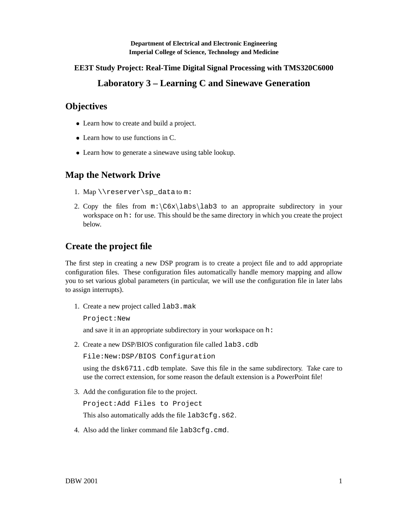**Department of Electrical and Electronic Engineering Imperial College of Science, Technology and Medicine**

**EE3T Study Project: Real-Time Digital Signal Processing with TMS320C6000**

# **Laboratory 3 – Learning C and Sinewave Generation**

## **Objectives**

- Learn how to create and build a project.
- Learn how to use functions in C.
- Learn how to generate a sinewave using table lookup.

# **Map the Network Drive**

- 1. Map \\reserver\sp\_data to m:
- 2. Copy the files from  $m:\C6x\labs\lab3$  to an appropraite subdirectory in your workspace on h: for use. This should be the same directory in which you create the project below.

## **Create the project file**

The first step in creating a new DSP program is to create a project file and to add appropriate configuration files. These configuration files automatically handle memory mapping and allow you to set various global parameters (in particular, we will use the configuration file in later labs to assign interrupts).

1. Create a new project called lab3.mak

Project:New

and save it in an appropriate subdirectory in your workspace on h:

2. Create a new DSP/BIOS configuration file called lab3.cdb

File:New:DSP/BIOS Configuration

using the  $d$ sk $6711$ . cdb template. Save this file in the same subdirectory. Take care to use the correct extension, for some reason the default extension is a PowerPoint file!

3. Add the configuration file to the project.

Project:Add Files to Project

This also automatically adds the file  $lab3cfq.s62$ .

4. Also add the linker command file lab3cfq.cmd.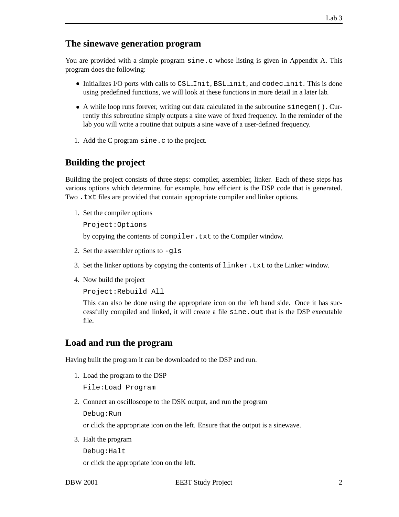#### **The sinewave generation program**

You are provided with a simple program sine.c whose listing is given in Appendix A. This program does the following:

- $\bullet$  Initializes I/O ports with calls to CSL Init, BSL init, and codec init. This is done using predefined functions, we will look at these functions in more detail in a later lab.
- A while loop runs forever, writing out data calculated in the subroutine sinegen(). Currently this subroutine simply outputs a sine wave of fixed frequency. In the reminder of the lab you will write a routine that outputs a sine wave of a user-defined frequency.
- 1. Add the C program sine.c to the project.

## **Building the project**

Building the project consists of three steps: compiler, assembler, linker. Each of these steps has various options which determine, for example, how efficient is the DSP code that is generated. Two .txt files are provided that contain appropriate compiler and linker options.

1. Set the compiler options

Project:Options

by copying the contents of compiler.txt to the Compiler window.

- 2. Set the assembler options to -gls
- 3. Set the linker options by copying the contents of linker.txt to the Linker window.
- 4. Now build the project

Project:Rebuild All

This can also be done using the appropriate icon on the left hand side. Once it has successfully compiled and linked, it will create a file sine.out that is the DSP executable file.

#### **Load and run the program**

Having built the program it can be downloaded to the DSP and run.

1. Load the program to the DSP

File:Load Program

2. Connect an oscilloscope to the DSK output, and run the program

Debug:Run

or click the appropriate icon on the left. Ensure that the output is a sinewave.

3. Halt the program

Debug:Halt

or click the appropriate icon on the left.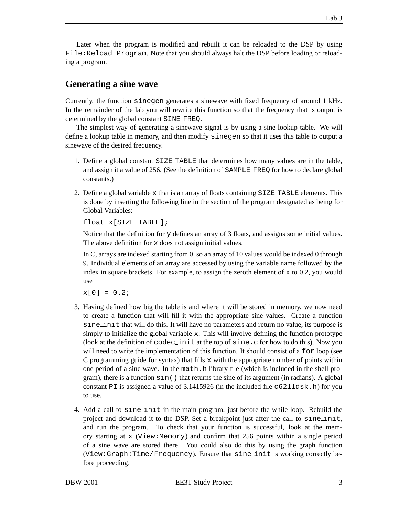Later when the program is modified and rebuilt it can be reloaded to the DSP by using File:Reload Program. Note that you should always halt the DSP before loading or reloading a program.

### **Generating a sine wave**

Currently, the function sinegen generates a sinewave with fixed frequency of around 1 kHz. In the remainder of the lab you will rewrite this function so that the frequency that is output is determined by the global constant SINE FREQ.

The simplest way of generating a sinewave signal is by using a sine lookup table. We will define a lookup table in memory, and then modify sinegen so that it uses this table to output a sinewave of the desired frequency.

- 1. Define a global constant SIZE TABLE that determines how many values are in the table, and assign it a value of 256. (See the definition of SAMPLE FREQ for how to declare global constants.)
- 2. Define a global variable x that is an array of floats containing SIZE TABLE elements. This is done by inserting the following line in the section of the program designated as being for Global Variables:

float x[SIZE TABLE];

Notice that the definition for y defines an array of 3 floats, and assigns some initial values. The above definition for x does not assign initial values.

In C, arrays are indexed starting from 0, so an array of 10 values would be indexed 0 through 9. Individual elements of an array are accessed by using the variable name followed by the index in square brackets. For example, to assign the zeroth element of  $x$  to 0.2, you would use

 $x[0] = 0.2$ ;

- 3. Having defined how big the table is and where it will be stored in memory, we now need to create a function that will fill it with the appropriate sine values. Create a function sine init that will do this. It will have no parameters and return no value, its purpose is simply to initialize the global variable x. This will involve defining the function prototype (look at the definition of codec init at the top of sine.c for how to do this). Now you will need to write the implementation of this function. It should consist of a for loop (see C programming guide for syntax) that fills  $x$  with the appropriate number of points within one period of a sine wave. In the math.h library file (which is included in the shell program), there is a function sin() that returns the sine of its argument (in radians). A global constant PI is assigned a value of  $3.1415926$  (in the included file  $c6211d$ sk.h) for you to use.
- 4. Add a call to sine init in the main program, just before the while loop. Rebuild the project and download it to the DSP. Set a breakpoint just after the call to sine init, and run the program. To check that your function is successful, look at the memory starting at  $x$  (View:Memory) and confirm that 256 points within a single period of a sine wave are stored there. You could also do this by using the graph function (View:Graph:Time/Frequency). Ensure that sine init is working correctly before proceeding.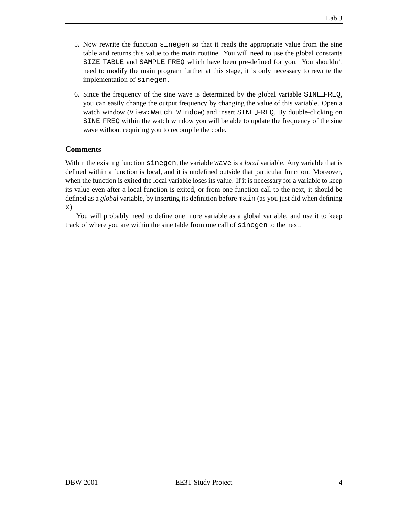- 5. Now rewrite the function sinegen so that it reads the appropriate value from the sine table and returns this value to the main routine. You will need to use the global constants SIZE TABLE and SAMPLE FREQ which have been pre-defined for you. You shouldn't need to modify the main program further at this stage, it is only necessary to rewrite the implementation of sinegen.
- 6. Since the frequency of the sine wave is determined by the global variable SINE FREQ, you can easily change the output frequency by changing the value of this variable. Open a watch window (View:Watch Window) and insert SINE FREQ. By double-clicking on SINE FREQ within the watch window you will be able to update the frequency of the sine wave without requiring you to recompile the code.

#### **Comments**

Within the existing function sinegen, the variable wave is a *local* variable. Any variable that is defined within a function is local, and it is undefined outside that particular function. Moreover, when the function is exited the local variable loses its value. If it is necessary for a variable to keep its value even after a local function is exited, or from one function call to the next, it should be defined as a *global* variable, by inserting its definition before main (as you just did when defining x).

You will probably need to define one more variable as a global variable, and use it to keep track of where you are within the sine table from one call of sinegen to the next.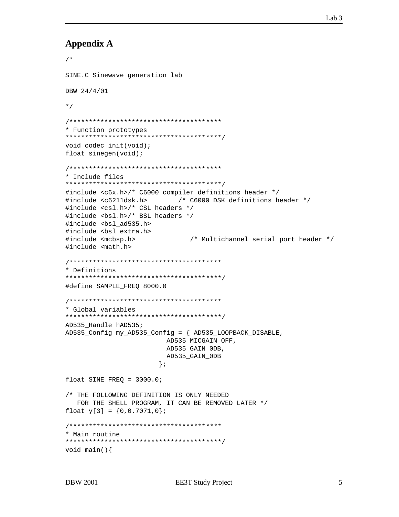### **Appendix A**

```
/*
SINE.C Sinewave generation lab
DBW 24/4/01
\star /
* Function prototypes
void codec_init(void);
float sinegen(void);
* Include files
#include <c6x.h>/* C6000 compiler definitions header */
#include <c6211dsk.h>
                  /* C6000 DSK definitions header */
#include <csl.h>/* CSL headers */
#include <bs1.h>/* BSL headers */
#include <bs1 ad535.h>
#include <bsl_extra.h>
#include <mcbsp.h>
                     /* Multichannel serial port header */
#include <math.h>
* Definitions
#define SAMPLE_FREQ 8000.0
* Global variables
AD535 Handle hAD535;
AD535_Config my_AD535_Config = { AD535_LOOPBACK_DISABLE,
                 AD535_MICGAIN_OFF,
                 AD535_GAIN_0DB,
                 AD535 GAIN ODB
                \};
float SINE_FREQ = 3000.0;
/* THE FOLLOWING DEFINITION IS ONLY NEEDED
  FOR THE SHELL PROGRAM, IT CAN BE REMOVED LATER */
float y[3] = \{0, 0.7071, 0\};
* Main routine
void main()
```